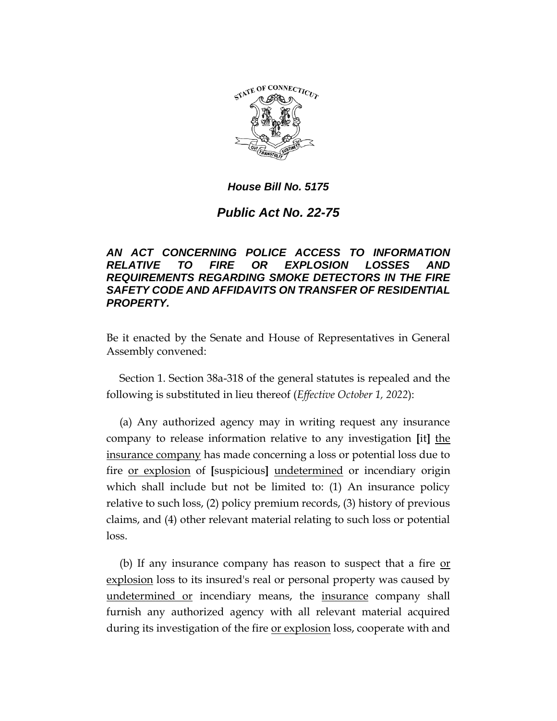

# *Public Act No. 22-75*

## *AN ACT CONCERNING POLICE ACCESS TO INFORMATION RELATIVE TO FIRE OR EXPLOSION LOSSES AND REQUIREMENTS REGARDING SMOKE DETECTORS IN THE FIRE SAFETY CODE AND AFFIDAVITS ON TRANSFER OF RESIDENTIAL PROPERTY.*

Be it enacted by the Senate and House of Representatives in General Assembly convened:

Section 1. Section 38a-318 of the general statutes is repealed and the following is substituted in lieu thereof (*Effective October 1, 2022*):

(a) Any authorized agency may in writing request any insurance company to release information relative to any investigation **[**it**]** the insurance company has made concerning a loss or potential loss due to fire or explosion of **[**suspicious**]** undetermined or incendiary origin which shall include but not be limited to: (1) An insurance policy relative to such loss, (2) policy premium records, (3) history of previous claims, and (4) other relevant material relating to such loss or potential loss.

(b) If any insurance company has reason to suspect that a fire or explosion loss to its insured's real or personal property was caused by undetermined or incendiary means, the insurance company shall furnish any authorized agency with all relevant material acquired during its investigation of the fire or explosion loss, cooperate with and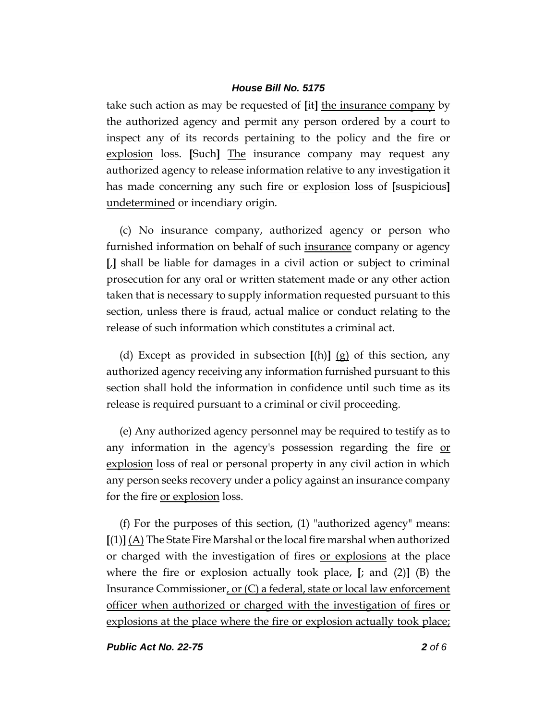take such action as may be requested of **[**it**]** the insurance company by the authorized agency and permit any person ordered by a court to inspect any of its records pertaining to the policy and the fire or explosion loss. **[**Such**]** The insurance company may request any authorized agency to release information relative to any investigation it has made concerning any such fire or explosion loss of **[**suspicious**]** undetermined or incendiary origin.

(c) No insurance company, authorized agency or person who furnished information on behalf of such insurance company or agency **[**,**]** shall be liable for damages in a civil action or subject to criminal prosecution for any oral or written statement made or any other action taken that is necessary to supply information requested pursuant to this section, unless there is fraud, actual malice or conduct relating to the release of such information which constitutes a criminal act.

(d) Except as provided in subsection **[**(h)**]** (g) of this section, any authorized agency receiving any information furnished pursuant to this section shall hold the information in confidence until such time as its release is required pursuant to a criminal or civil proceeding.

(e) Any authorized agency personnel may be required to testify as to any information in the agency's possession regarding the fire or explosion loss of real or personal property in any civil action in which any person seeks recovery under a policy against an insurance company for the fire or explosion loss.

(f) For the purposes of this section,  $(1)$  "authorized agency" means: **[**(1)**]** (A) The State Fire Marshal or the local fire marshal when authorized or charged with the investigation of fires or explosions at the place where the fire or explosion actually took place, **[**; and (2)**]** (B) the Insurance Commissioner, or (C) a federal, state or local law enforcement officer when authorized or charged with the investigation of fires or explosions at the place where the fire or explosion actually took place;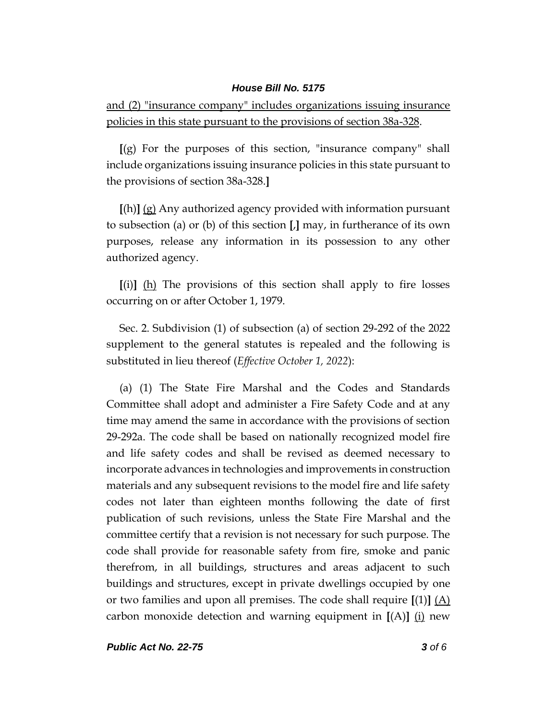and (2) "insurance company" includes organizations issuing insurance policies in this state pursuant to the provisions of section 38a-328.

**[**(g) For the purposes of this section, "insurance company" shall include organizations issuing insurance policies in this state pursuant to the provisions of section 38a-328.**]**

**[**(h)**]** (g) Any authorized agency provided with information pursuant to subsection (a) or (b) of this section **[**,**]** may, in furtherance of its own purposes, release any information in its possession to any other authorized agency.

**[**(i)**]** (h) The provisions of this section shall apply to fire losses occurring on or after October 1, 1979.

Sec. 2. Subdivision (1) of subsection (a) of section 29-292 of the 2022 supplement to the general statutes is repealed and the following is substituted in lieu thereof (*Effective October 1, 2022*):

(a) (1) The State Fire Marshal and the Codes and Standards Committee shall adopt and administer a Fire Safety Code and at any time may amend the same in accordance with the provisions of section 29-292a. The code shall be based on nationally recognized model fire and life safety codes and shall be revised as deemed necessary to incorporate advances in technologies and improvements in construction materials and any subsequent revisions to the model fire and life safety codes not later than eighteen months following the date of first publication of such revisions, unless the State Fire Marshal and the committee certify that a revision is not necessary for such purpose. The code shall provide for reasonable safety from fire, smoke and panic therefrom, in all buildings, structures and areas adjacent to such buildings and structures, except in private dwellings occupied by one or two families and upon all premises. The code shall require **[**(1)**]** (A) carbon monoxide detection and warning equipment in **[**(A)**]** (i) new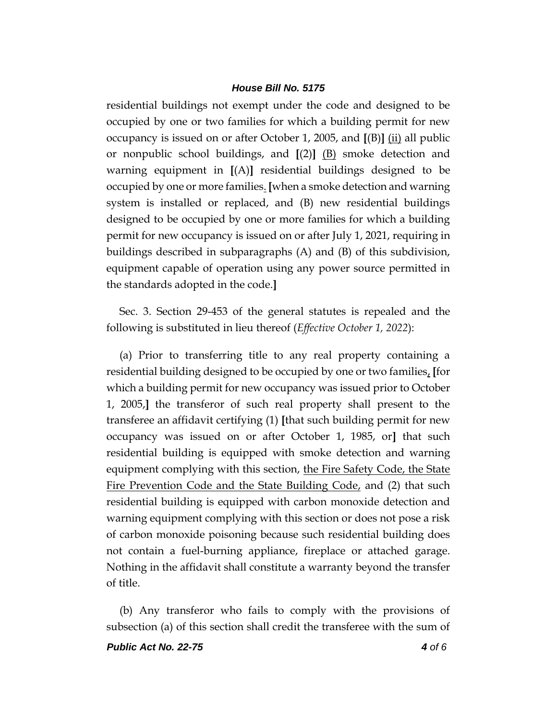residential buildings not exempt under the code and designed to be occupied by one or two families for which a building permit for new occupancy is issued on or after October 1, 2005, and **[**(B)**]** (ii) all public or nonpublic school buildings, and **[**(2)**]** (B) smoke detection and warning equipment in **[**(A)**]** residential buildings designed to be occupied by one or more families. **[**when a smoke detection and warning system is installed or replaced, and (B) new residential buildings designed to be occupied by one or more families for which a building permit for new occupancy is issued on or after July 1, 2021, requiring in buildings described in subparagraphs (A) and (B) of this subdivision, equipment capable of operation using any power source permitted in the standards adopted in the code.**]**

Sec. 3. Section 29-453 of the general statutes is repealed and the following is substituted in lieu thereof (*Effective October 1, 2022*):

(a) Prior to transferring title to any real property containing a residential building designed to be occupied by one or two families, **[**for which a building permit for new occupancy was issued prior to October 1, 2005,**]** the transferor of such real property shall present to the transferee an affidavit certifying (1) **[**that such building permit for new occupancy was issued on or after October 1, 1985, or**]** that such residential building is equipped with smoke detection and warning equipment complying with this section, the Fire Safety Code, the State Fire Prevention Code and the State Building Code, and (2) that such residential building is equipped with carbon monoxide detection and warning equipment complying with this section or does not pose a risk of carbon monoxide poisoning because such residential building does not contain a fuel-burning appliance, fireplace or attached garage. Nothing in the affidavit shall constitute a warranty beyond the transfer of title.

(b) Any transferor who fails to comply with the provisions of subsection (a) of this section shall credit the transferee with the sum of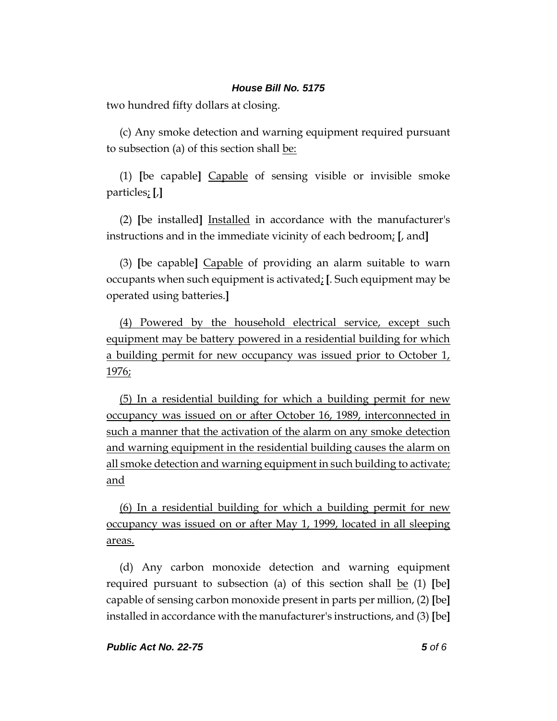two hundred fifty dollars at closing.

(c) Any smoke detection and warning equipment required pursuant to subsection (a) of this section shall be:

(1) **[**be capable**]** Capable of sensing visible or invisible smoke particles; **[**,**]**

(2) **[**be installed**]** Installed in accordance with the manufacturer's instructions and in the immediate vicinity of each bedroom; **[**, and**]**

(3) **[**be capable**]** Capable of providing an alarm suitable to warn occupants when such equipment is activated; **[**. Such equipment may be operated using batteries.**]**

(4) Powered by the household electrical service, except such equipment may be battery powered in a residential building for which a building permit for new occupancy was issued prior to October 1, 1976;

(5) In a residential building for which a building permit for new occupancy was issued on or after October 16, 1989, interconnected in such a manner that the activation of the alarm on any smoke detection and warning equipment in the residential building causes the alarm on all smoke detection and warning equipment in such building to activate; and

(6) In a residential building for which a building permit for new occupancy was issued on or after May 1, 1999, located in all sleeping areas.

(d) Any carbon monoxide detection and warning equipment required pursuant to subsection (a) of this section shall be (1) **[**be**]** capable of sensing carbon monoxide present in parts per million, (2) **[**be**]** installed in accordance with the manufacturer's instructions, and (3) **[**be**]**